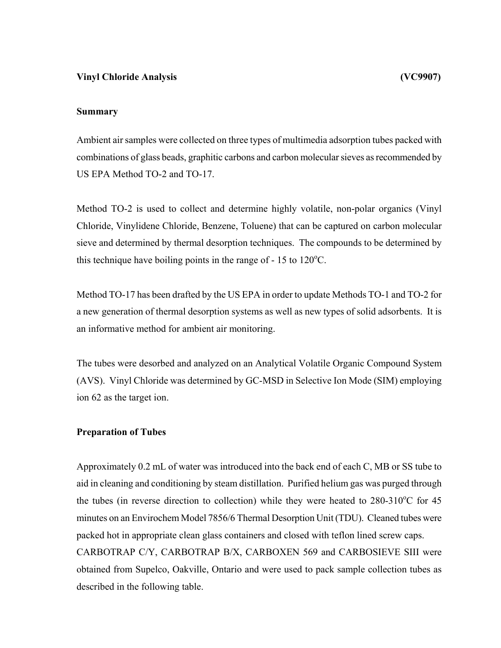# **Vinyl Chloride Analysis (VC9907)**

## **Summary**

Ambient air samples were collected on three types of multimedia adsorption tubes packed with combinations of glass beads, graphitic carbons and carbon molecular sieves as recommended by US EPA Method TO-2 and TO-17.

Method TO-2 is used to collect and determine highly volatile, non-polar organics (Vinyl Chloride, Vinylidene Chloride, Benzene, Toluene) that can be captured on carbon molecular sieve and determined by thermal desorption techniques. The compounds to be determined by this technique have boiling points in the range of  $-15$  to  $120^{\circ}$ C.

Method TO-17 has been drafted by the US EPA in order to update Methods TO-1 and TO-2 for a new generation of thermal desorption systems as well as new types of solid adsorbents. It is an informative method for ambient air monitoring.

The tubes were desorbed and analyzed on an Analytical Volatile Organic Compound System (AVS). Vinyl Chloride was determined by GC-MSD in Selective Ion Mode (SIM) employing ion 62 as the target ion.

## **Preparation of Tubes**

Approximately 0.2 mL of water was introduced into the back end of each C, MB or SS tube to aid in cleaning and conditioning by steam distillation. Purified helium gas was purged through the tubes (in reverse direction to collection) while they were heated to  $280-310^{\circ}$ C for 45 minutes on an Envirochem Model 7856/6 Thermal Desorption Unit (TDU). Cleaned tubes were packed hot in appropriate clean glass containers and closed with teflon lined screw caps. CARBOTRAP C/Y, CARBOTRAP B/X, CARBOXEN 569 and CARBOSIEVE SIII were obtained from Supelco, Oakville, Ontario and were used to pack sample collection tubes as described in the following table.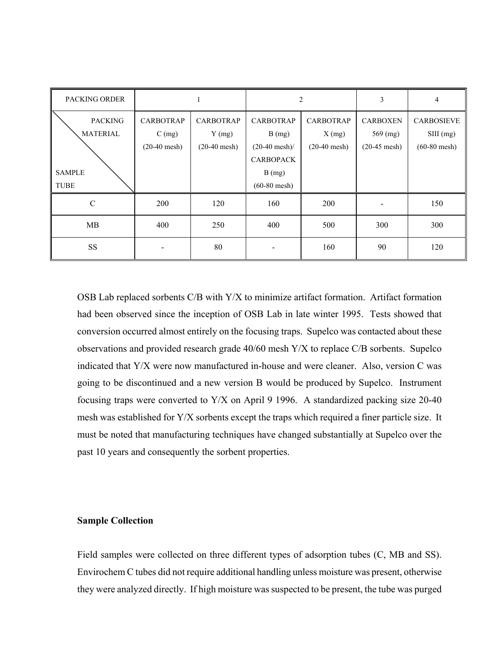| <b>PACKING ORDER</b> |                  |                  | $\overline{2}$     |                  | 3               | $\overline{4}$    |
|----------------------|------------------|------------------|--------------------|------------------|-----------------|-------------------|
| <b>PACKING</b>       | <b>CARBOTRAP</b> | <b>CARBOTRAP</b> | <b>CARBOTRAP</b>   | <b>CARBOTRAP</b> | <b>CARBOXEN</b> | <b>CARBOSIEVE</b> |
| <b>MATERIAL</b>      | $C$ (mg)         | $Y$ (mg)         | B(mg)              | $X$ (mg)         | $569$ (mg)      | $SIII$ (mg)       |
|                      | $(20-40$ mesh)   | $(20-40$ mesh)   | $(20-40$ mesh $)/$ | $(20-40$ mesh)   | $(20-45$ mesh)  | $(60-80$ mesh)    |
|                      |                  |                  | <b>CARBOPACK</b>   |                  |                 |                   |
| <b>SAMPLE</b>        |                  |                  | B(mg)              |                  |                 |                   |
| TUBE                 |                  |                  | $(60-80$ mesh)     |                  |                 |                   |
| $\mathcal{C}$        | <b>200</b>       | 120              | 160                | <b>200</b>       |                 | 150               |
| MB                   | 400              | 250              | 400                | 500              | 300             | 300               |
| $\rm SS$             | -                | 80               |                    | 160              | 90              | 120               |

OSB Lab replaced sorbents C/B with Y/X to minimize artifact formation. Artifact formation had been observed since the inception of OSB Lab in late winter 1995. Tests showed that conversion occurred almost entirely on the focusing traps. Supelco was contacted about these observations and provided research grade 40/60 mesh Y/X to replace C/B sorbents. Supelco indicated that Y/X were now manufactured in-house and were cleaner. Also, version C was going to be discontinued and a new version B would be produced by Supelco. Instrument focusing traps were converted to Y/X on April 9 1996. A standardized packing size 20-40 mesh was established for Y/X sorbents except the traps which required a finer particle size. It must be noted that manufacturing techniques have changed substantially at Supelco over the past 10 years and consequently the sorbent properties.

## **Sample Collection**

Field samples were collected on three different types of adsorption tubes (C, MB and SS). Envirochem C tubes did not require additional handling unless moisture was present, otherwise they were analyzed directly. If high moisture was suspected to be present, the tube was purged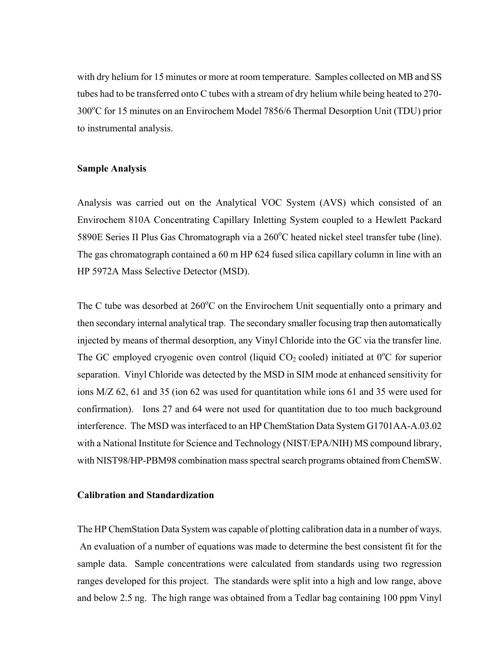with dry helium for 15 minutes or more at room temperature. Samples collected on MB and SS tubes had to be transferred onto C tubes with a stream of dry helium while being heated to 270- 300°C for 15 minutes on an Envirochem Model 7856/6 Thermal Desorption Unit (TDU) prior to instrumental analysis.

#### **Sample Analysis**

Analysis was carried out on the Analytical VOC System (AVS) which consisted of an Envirochem 810A Concentrating Capillary Inletting System coupled to a Hewlett Packard 5890E Series II Plus Gas Chromatograph via a 260°C heated nickel steel transfer tube (line). The gas chromatograph contained a 60 m HP 624 fused silica capillary column in line with an HP 5972A Mass Selective Detector (MSD).

The C tube was desorbed at 260°C on the Envirochem Unit sequentially onto a primary and then secondary internal analytical trap. The secondary smaller focusing trap then automatically injected by means of thermal desorption, any Vinyl Chloride into the GC via the transfer line. The GC employed cryogenic oven control (liquid  $CO<sub>2</sub>$  cooled) initiated at  $0^{\circ}$ C for superior separation. Vinyl Chloride was detected by the MSD in SIM mode at enhanced sensitivity for ions M/Z 62, 61 and 35 (ion 62 was used for quantitation while ions 61 and 35 were used for confirmation). Ions 27 and 64 were not used for quantitation due to too much background interference. The MSD was interfaced to an HP ChemStation Data System G1701AA-A.03.02 with a National Institute for Science and Technology (NIST/EPA/NIH) MS compound library, with NIST98/HP-PBM98 combination mass spectral search programs obtained from ChemSW.

#### **Calibration and Standardization**

The HP ChemStation Data System was capable of plotting calibration data in a number of ways. An evaluation of a number of equations was made to determine the best consistent fit for the sample data. Sample concentrations were calculated from standards using two regression ranges developed for this project. The standards were split into a high and low range, above and below 2.5 ng. The high range was obtained from a Tedlar bag containing 100 ppm Vinyl